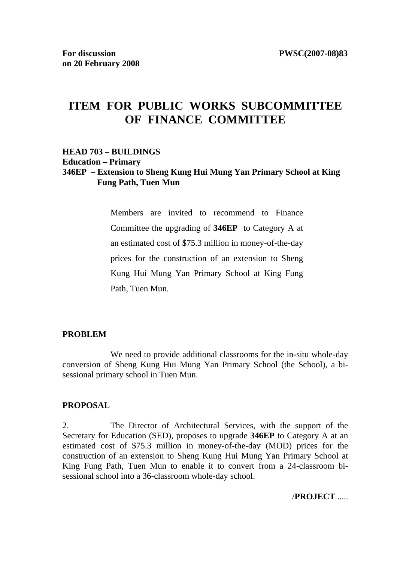# **ITEM FOR PUBLIC WORKS SUBCOMMITTEE OF FINANCE COMMITTEE**

#### **HEAD 703 – BUILDINGS Education – Primary 346EP – Extension to Sheng Kung Hui Mung Yan Primary School at King Fung Path, Tuen Mun**

Members are invited to recommend to Finance Committee the upgrading of **346EP** to Category A at an estimated cost of \$75.3 million in money-of-the-day prices for the construction of an extension to Sheng Kung Hui Mung Yan Primary School at King Fung Path, Tuen Mun.

#### **PROBLEM**

We need to provide additional classrooms for the in-situ whole-day conversion of Sheng Kung Hui Mung Yan Primary School (the School), a bisessional primary school in Tuen Mun.

#### **PROPOSAL**

2. The Director of Architectural Services, with the support of the Secretary for Education (SED), proposes to upgrade **346EP** to Category A at an estimated cost of \$75.3 million in money-of-the-day (MOD) prices for the construction of an extension to Sheng Kung Hui Mung Yan Primary School at King Fung Path, Tuen Mun to enable it to convert from a 24-classroom bisessional school into a 36-classroom whole-day school.

/**PROJECT** .....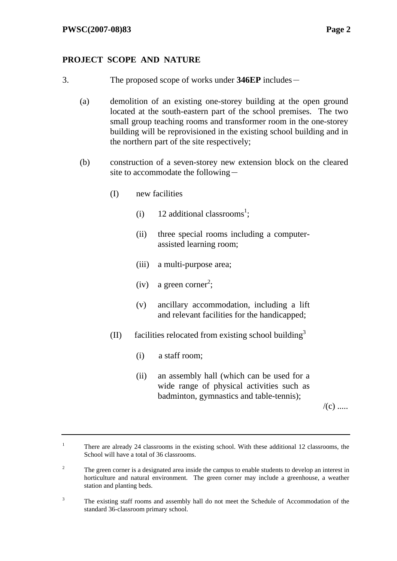### **PROJECT SCOPE AND NATURE**

- 3. The proposed scope of works under **346EP** includes-
	- (a) demolition of an existing one-storey building at the open ground located at the south-eastern part of the school premises. The two small group teaching rooms and transformer room in the one-storey building will be reprovisioned in the existing school building and in the northern part of the site respectively;
	- (b) construction of a seven-storey new extension block on the cleared site to accommodate the following $-$ 
		- (I) new facilities
			- (i) 12 additional classrooms<sup>1</sup>;
			- (ii) three special rooms including a computerassisted learning room;
			- (iii) a multi-purpose area;
			- $(iv)$  a green corner<sup>2</sup>;
			- (v) ancillary accommodation, including a lift and relevant facilities for the handicapped;
		- (II) facilities relocated from existing school building<sup>3</sup>
			- (i) a staff room;
			- (ii) an assembly hall (which can be used for a wide range of physical activities such as badminton, gymnastics and table-tennis);

 $/(c)$  .....

<sup>1</sup> There are already 24 classrooms in the existing school. With these additional 12 classrooms, the School will have a total of 36 classrooms.

 $\overline{2}$  The green corner is a designated area inside the campus to enable students to develop an interest in horticulture and natural environment. The green corner may include a greenhouse, a weather station and planting beds.

<sup>3</sup> The existing staff rooms and assembly hall do not meet the Schedule of Accommodation of the standard 36-classroom primary school.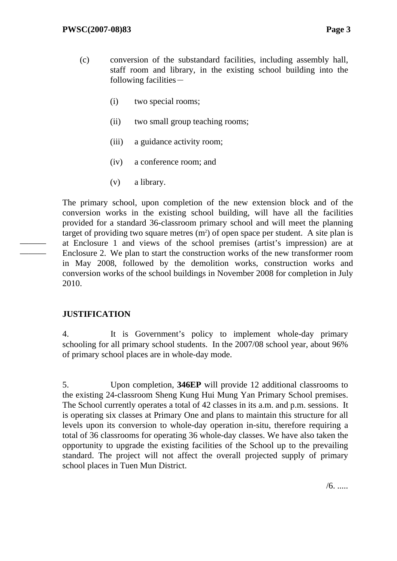- (c) conversion of the substandard facilities, including assembly hall, staff room and library, in the existing school building into the following facilities $-$ 
	- (i) two special rooms;
	- (ii) two small group teaching rooms;
	- (iii) a guidance activity room;
	- (iv) a conference room; and
	- (v) a library.

The primary school, upon completion of the new extension block and of the conversion works in the existing school building, will have all the facilities provided for a standard 36-classroom primary school and will meet the planning target of providing two square metres  $(m<sup>2</sup>)$  of open space per student. A site plan is at Enclosure 1 and views of the school premises (artist's impression) are at Enclosure 2. We plan to start the construction works of the new transformer room in May 2008, followed by the demolition works, construction works and conversion works of the school buildings in November 2008 for completion in July 2010.

### **JUSTIFICATION**

——— ———

> 4. It is Government's policy to implement whole-day primary schooling for all primary school students. In the 2007/08 school year, about 96% of primary school places are in whole-day mode.

> 5. Upon completion, **346EP** will provide 12 additional classrooms to the existing 24-classroom Sheng Kung Hui Mung Yan Primary School premises. The School currently operates a total of 42 classes in its a.m. and p.m. sessions. It is operating six classes at Primary One and plans to maintain this structure for all levels upon its conversion to whole-day operation in-situ, therefore requiring a total of 36 classrooms for operating 36 whole-day classes. We have also taken the opportunity to upgrade the existing facilities of the School up to the prevailing standard. The project will not affect the overall projected supply of primary school places in Tuen Mun District.

> > $/6.$ .....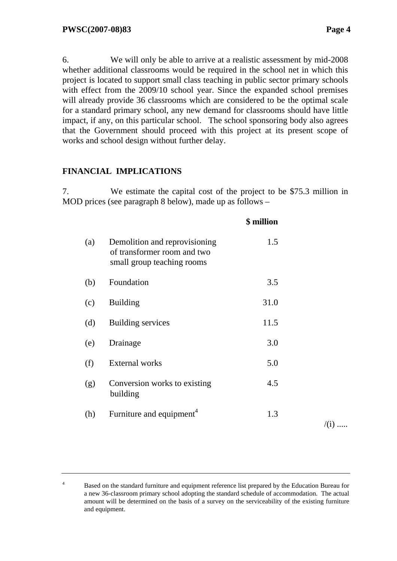/(i) .....

6. We will only be able to arrive at a realistic assessment by mid-2008 whether additional classrooms would be required in the school net in which this project is located to support small class teaching in public sector primary schools with effect from the 2009/10 school year. Since the expanded school premises will already provide 36 classrooms which are considered to be the optimal scale for a standard primary school, any new demand for classrooms should have little impact, if any, on this particular school. The school sponsoring body also agrees that the Government should proceed with this project at its present scope of works and school design without further delay.

#### **FINANCIAL IMPLICATIONS**

7. We estimate the capital cost of the project to be \$75.3 million in MOD prices (see paragraph 8 below), made up as follows –

|     |                                                                                            | \$ million |              |
|-----|--------------------------------------------------------------------------------------------|------------|--------------|
| (a) | Demolition and reprovisioning<br>of transformer room and two<br>small group teaching rooms | 1.5        |              |
| (b) | Foundation                                                                                 | 3.5        |              |
| (c) | <b>Building</b>                                                                            | 31.0       |              |
| (d) | <b>Building services</b>                                                                   | 11.5       |              |
| (e) | Drainage                                                                                   | 3.0        |              |
| (f) | <b>External works</b>                                                                      | 5.0        |              |
| (g) | Conversion works to existing<br>building                                                   | 4.5        |              |
| (h) | Furniture and equipment <sup>4</sup>                                                       | 1.3        | $\sqrt{(i)}$ |
|     |                                                                                            |            |              |

<sup>4</sup> Based on the standard furniture and equipment reference list prepared by the Education Bureau for a new 36-classroom primary school adopting the standard schedule of accommodation. The actual amount will be determined on the basis of a survey on the serviceability of the existing furniture and equipment.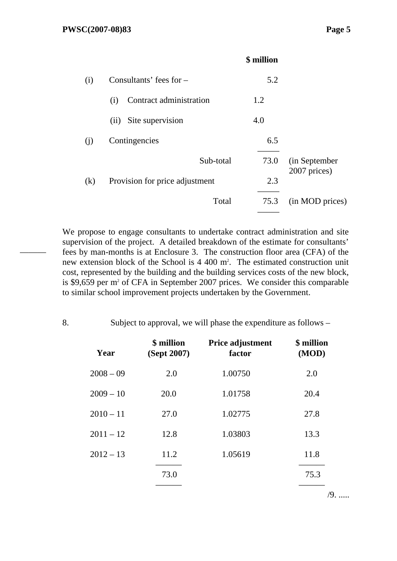———

|          |                                | \$ million |                 |
|----------|--------------------------------|------------|-----------------|
| (i)      | Consultants' fees for $-$      | 5.2        |                 |
|          | Contract administration<br>(i) | 1.2        |                 |
|          | Site supervision<br>(ii)       | 4.0        |                 |
| (i)      | Contingencies                  | 6.5        |                 |
|          | Sub-total                      | 73.0       | (in September   |
| $\rm(k)$ | Provision for price adjustment | 2.3        | 2007 prices)    |
|          | Total                          | 75.3       | (in MOD prices) |
|          |                                |            |                 |

We propose to engage consultants to undertake contract administration and site supervision of the project. A detailed breakdown of the estimate for consultants' fees by man-months is at Enclosure 3. The construction floor area (CFA) of the new extension block of the School is 4 400 m<sup>2</sup>. The estimated construction unit cost, represented by the building and the building services costs of the new block, is \$9,659 per m<sup>2</sup> of CFA in September 2007 prices. We consider this comparable to similar school improvement projects undertaken by the Government.

8. Subject to approval, we will phase the expenditure as follows –

| Year        | \$ million<br>(Sept 2007) | Price adjustment<br>factor | \$ million<br>(MOD) |
|-------------|---------------------------|----------------------------|---------------------|
| $2008 - 09$ | 2.0                       | 1.00750                    | 2.0                 |
| $2009 - 10$ | 20.0                      | 1.01758                    | 20.4                |
| $2010 - 11$ | 27.0                      | 1.02775                    | 27.8                |
| $2011 - 12$ | 12.8                      | 1.03803                    | 13.3                |
| $2012 - 13$ | 11.2                      | 1.05619                    | 11.8                |
|             | 73.0                      |                            | 75.3                |
|             |                           |                            |                     |

/9. .....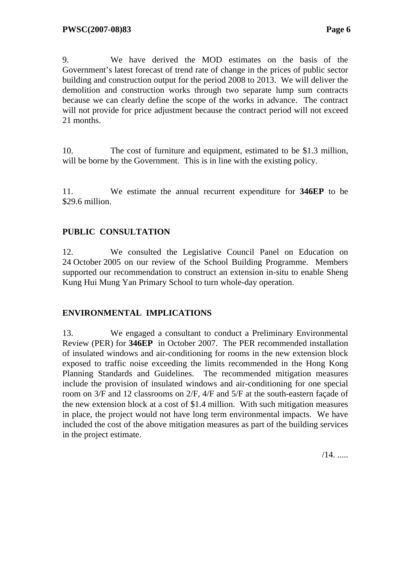9. We have derived the MOD estimates on the basis of the Government's latest forecast of trend rate of change in the prices of public sector building and construction output for the period 2008 to 2013. We will deliver the demolition and construction works through two separate lump sum contracts because we can clearly define the scope of the works in advance. The contract will not provide for price adjustment because the contract period will not exceed 21 months.

10. The cost of furniture and equipment, estimated to be \$1.3 million, will be borne by the Government. This is in line with the existing policy.

11. We estimate the annual recurrent expenditure for **346EP** to be \$29.6 million.

## **PUBLIC CONSULTATION**

12. We consulted the Legislative Council Panel on Education on 24 October 2005 on our review of the School Building Programme. Members supported our recommendation to construct an extension in-situ to enable Sheng Kung Hui Mung Yan Primary School to turn whole-day operation.

### **ENVIRONMENTAL IMPLICATIONS**

13. We engaged a consultant to conduct a Preliminary Environmental Review (PER) for **346EP** in October 2007. The PER recommended installation of insulated windows and air-conditioning for rooms in the new extension block exposed to traffic noise exceeding the limits recommended in the Hong Kong Planning Standards and Guidelines. The recommended mitigation measures include the provision of insulated windows and air-conditioning for one special room on 3/F and 12 classrooms on 2/F, 4/F and 5/F at the south-eastern façade of the new extension block at a cost of \$1.4 million. With such mitigation measures in place, the project would not have long term environmental impacts. We have included the cost of the above mitigation measures as part of the building services in the project estimate.

 $/14.$  .....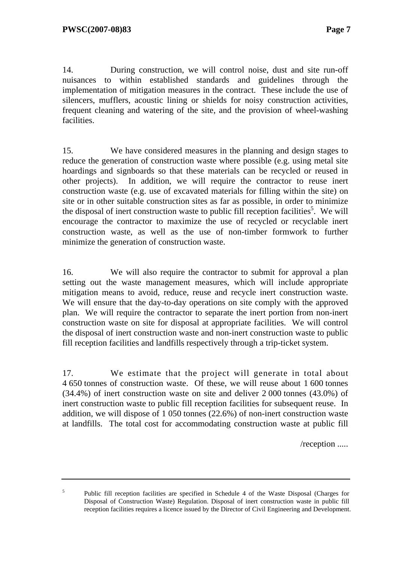14. During construction, we will control noise, dust and site run-off nuisances to within established standards and guidelines through the implementation of mitigation measures in the contract. These include the use of silencers, mufflers, acoustic lining or shields for noisy construction activities, frequent cleaning and watering of the site, and the provision of wheel-washing facilities.

15. We have considered measures in the planning and design stages to reduce the generation of construction waste where possible (e.g. using metal site hoardings and signboards so that these materials can be recycled or reused in other projects). In addition, we will require the contractor to reuse inert construction waste (e.g. use of excavated materials for filling within the site) on site or in other suitable construction sites as far as possible, in order to minimize the disposal of inert construction waste to public fill reception facilities<sup>5</sup>. We will encourage the contractor to maximize the use of recycled or recyclable inert construction waste, as well as the use of non-timber formwork to further minimize the generation of construction waste.

16. We will also require the contractor to submit for approval a plan setting out the waste management measures, which will include appropriate mitigation means to avoid, reduce, reuse and recycle inert construction waste. We will ensure that the day-to-day operations on site comply with the approved plan. We will require the contractor to separate the inert portion from non-inert construction waste on site for disposal at appropriate facilities. We will control the disposal of inert construction waste and non-inert construction waste to public fill reception facilities and landfills respectively through a trip-ticket system.

17. We estimate that the project will generate in total about 4 650 tonnes of construction waste. Of these, we will reuse about 1 600 tonnes (34.4%) of inert construction waste on site and deliver 2 000 tonnes (43.0%) of inert construction waste to public fill reception facilities for subsequent reuse. In addition, we will dispose of 1 050 tonnes (22.6%) of non-inert construction waste at landfills. The total cost for accommodating construction waste at public fill

/reception .....

5

Public fill reception facilities are specified in Schedule 4 of the Waste Disposal (Charges for Disposal of Construction Waste) Regulation. Disposal of inert construction waste in public fill reception facilities requires a licence issued by the Director of Civil Engineering and Development.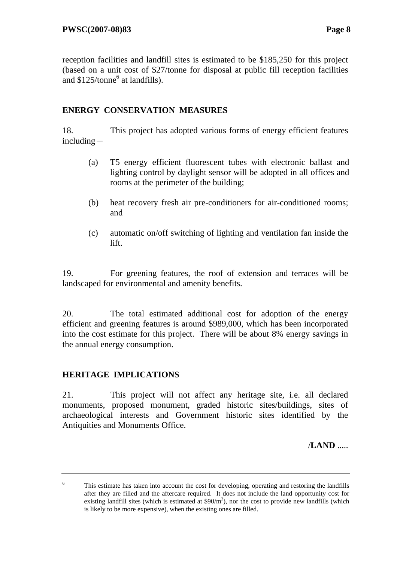reception facilities and landfill sites is estimated to be \$185,250 for this project (based on a unit cost of \$27/tonne for disposal at public fill reception facilities and \$125/tonne<sup>6</sup> at landfills).

#### **ENERGY CONSERVATION MEASURES**

18. This project has adopted various forms of energy efficient features  $including -$ 

- (a) T5 energy efficient fluorescent tubes with electronic ballast and lighting control by daylight sensor will be adopted in all offices and rooms at the perimeter of the building;
- (b) heat recovery fresh air pre-conditioners for air-conditioned rooms; and
- (c) automatic on/off switching of lighting and ventilation fan inside the lift.

19. For greening features, the roof of extension and terraces will be landscaped for environmental and amenity benefits.

20. The total estimated additional cost for adoption of the energy efficient and greening features is around \$989,000, which has been incorporated into the cost estimate for this project. There will be about 8% energy savings in the annual energy consumption.

### **HERITAGE IMPLICATIONS**

21. This project will not affect any heritage site, i.e. all declared monuments, proposed monument, graded historic sites/buildings, sites of archaeological interests and Government historic sites identified by the Antiquities and Monuments Office.

/**LAND** .....

<sup>6</sup> This estimate has taken into account the cost for developing, operating and restoring the landfills after they are filled and the aftercare required. It does not include the land opportunity cost for existing landfill sites (which is estimated at  $$90/m<sup>3</sup>$ ), nor the cost to provide new landfills (which is likely to be more expensive), when the existing ones are filled.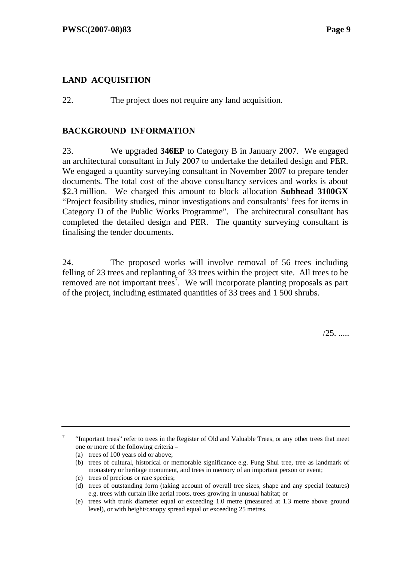### **LAND ACQUISITION**

22. The project does not require any land acquisition.

#### **BACKGROUND INFORMATION**

23. We upgraded **346EP** to Category B in January 2007. We engaged an architectural consultant in July 2007 to undertake the detailed design and PER. We engaged a quantity surveying consultant in November 2007 to prepare tender documents. The total cost of the above consultancy services and works is about \$2.3 million. We charged this amount to block allocation **Subhead 3100GX** "Project feasibility studies, minor investigations and consultants' fees for items in Category D of the Public Works Programme". The architectural consultant has completed the detailed design and PER. The quantity surveying consultant is finalising the tender documents.

24. The proposed works will involve removal of 56 trees including felling of 23 trees and replanting of 33 trees within the project site. All trees to be removed are not important trees<sup>7</sup>. We will incorporate planting proposals as part of the project, including estimated quantities of 33 trees and 1 500 shrubs.

/25. .....

7 "Important trees" refer to trees in the Register of Old and Valuable Trees, or any other trees that meet one or more of the following criteria –

(a) trees of 100 years old or above;

<sup>(</sup>b) trees of cultural, historical or memorable significance e.g. Fung Shui tree, tree as landmark of monastery or heritage monument, and trees in memory of an important person or event;

<sup>(</sup>c) trees of precious or rare species;

<sup>(</sup>d) trees of outstanding form (taking account of overall tree sizes, shape and any special features) e.g. trees with curtain like aerial roots, trees growing in unusual habitat; or

<sup>(</sup>e) trees with trunk diameter equal or exceeding 1.0 metre (measured at 1.3 metre above ground level), or with height/canopy spread equal or exceeding 25 metres.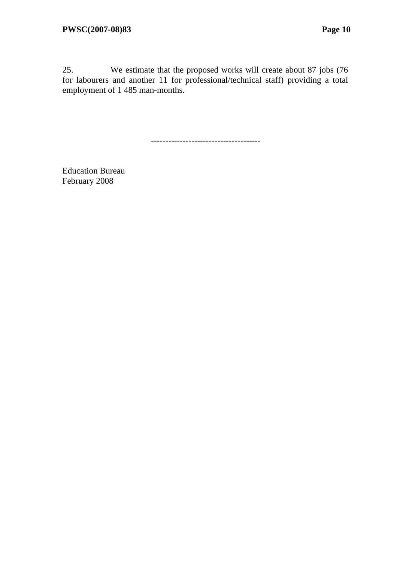25. We estimate that the proposed works will create about 87 jobs (76 for labourers and another 11 for professional/technical staff) providing a total employment of 1 485 man-months.

--------------------------------------

Education Bureau February 2008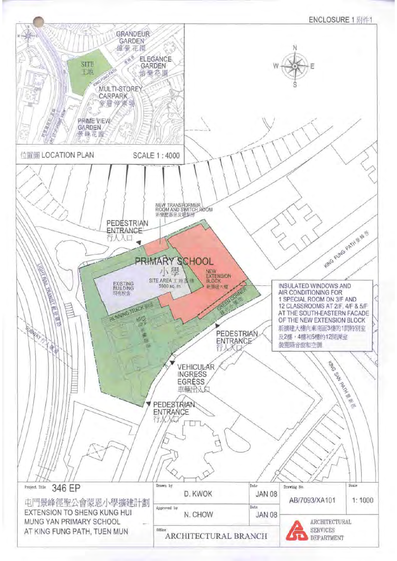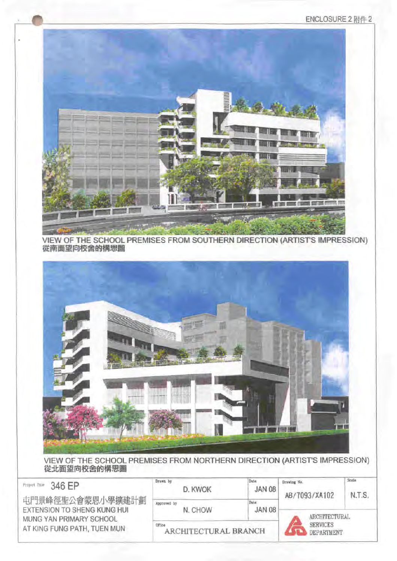



VIEW OF THE SCHOOL PREMISES FROM SOUTHERN DIRECTION (ARTIST'S IMPRESSION) 從南面望向校舍的構思圖



VIEW OF THE SCHOOL PREMISES FROM NORTHERN DIRECTION (ARTIST'S IMPRESSION) 從北面望向校舍的構思圖

| 346 FP<br>Project Title                                                           | Drawn by<br>D. KWOK            | Date<br>JAN 08                | Drawing No.<br>AB/7093/XA102 | Scale<br>N.T.S. |
|-----------------------------------------------------------------------------------|--------------------------------|-------------------------------|------------------------------|-----------------|
| 屯門景峰徑聖公會蒙恩小學擴建計劃<br><b>EXTENSION TO SHENG KUNG HUI</b><br>MUNG YAN PRIMARY SCHOOL | Approved by<br>N. CHOW         | Date<br><b>JAN 08</b>         | ARCHITECTURAL                |                 |
| AT KING FUNG PATH, TUEN MUN                                                       | Office<br>ARCHITECTURAL BRANCH | <b>SERVICES</b><br>DEPARTMENT |                              |                 |